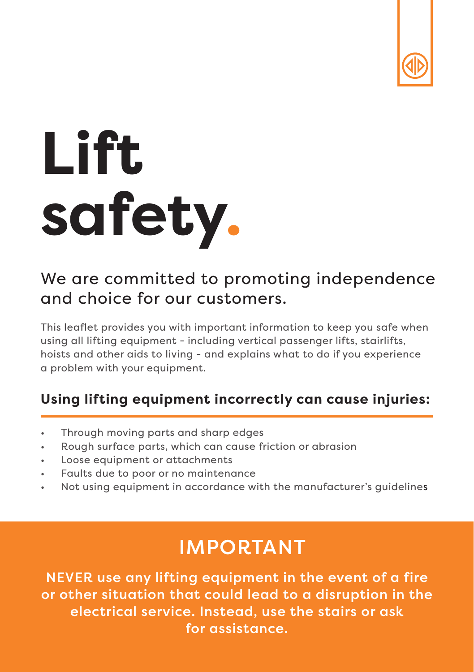

# **Lift safety.**

### We are committed to promoting independence and choice for our customers.

This leaflet provides you with important information to keep you safe when using all lifting equipment - including vertical passenger lifts, stairlifts, hoists and other aids to living - and explains what to do if you experience a problem with your equipment.

#### **Using lifting equipment incorrectly can cause injuries:**

- Through moving parts and sharp edges
- Rough surface parts, which can cause friction or abrasion
- Loose equipment or attachments
- Faults due to poor or no maintenance
- Not using equipment in accordance with the manufacturer's guidelines

### IMPORTANT

NEVER use any lifting equipment in the event of a fire or other situation that could lead to a disruption in the electrical service. Instead, use the stairs or ask for assistance.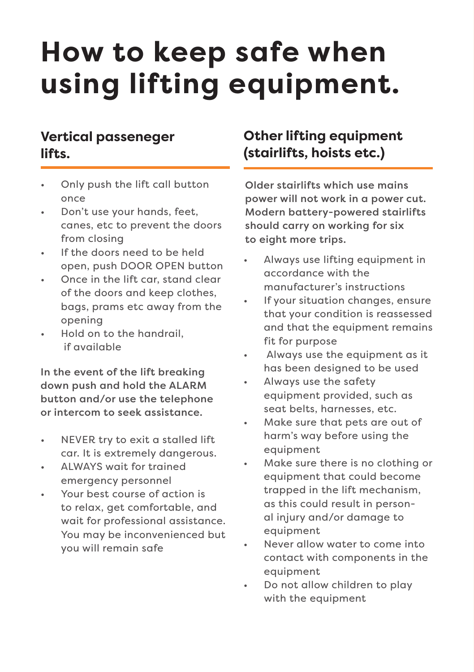## **How to keep safe when using lifting equipment.**

#### **Vertical passeneger lifts.**

- Only push the lift call button once
- Don't use your hands, feet, canes, etc to prevent the doors from closing
- If the doors need to be held open, push DOOR OPEN button
- Once in the lift car, stand clear of the doors and keep clothes, bags, prams etc away from the opening
- Hold on to the handrail, if available

In the event of the lift breaking down push and hold the ALARM button and/or use the telephone or intercom to seek assistance.

- NEVER try to exit a stalled lift car. It is extremely dangerous.
- ALWAYS wait for trained emergency personnel
- Your best course of action is to relax, get comfortable, and wait for professional assistance. You may be inconvenienced but you will remain safe

#### **Other lifting equipment (stairlifts, hoists etc.)**

Older stairlifts which use mains power will not work in a power cut. Modern battery-powered stairlifts should carry on working for six to eight more trips.

- Always use lifting equipment in accordance with the manufacturer's instructions
- If vour situation changes, ensure that your condition is reassessed and that the equipment remains fit for purpose
- Always use the equipment as it has been designed to be used
- Always use the safety equipment provided, such as seat belts, harnesses, etc.
- Make sure that pets are out of harm's way before using the equipment
- Make sure there is no clothing or equipment that could become trapped in the lift mechanism, as this could result in personal injury and/or damage to equipment
- Never allow water to come into contact with components in the equipment
- Do not allow children to play with the equipment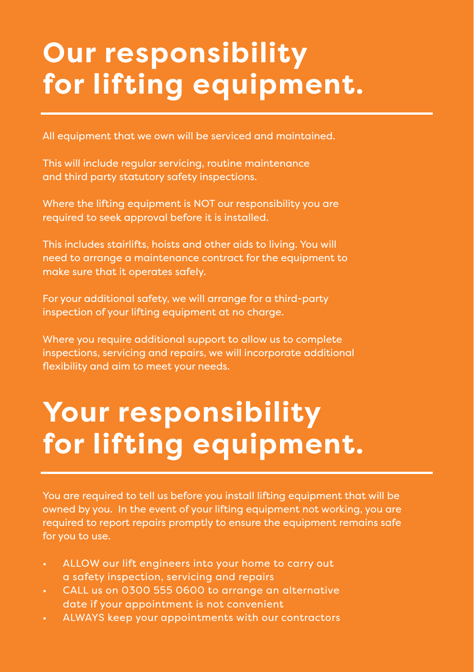### **Our responsibility for lifting equipment.**

All equipment that we own will be serviced and maintained.

This will include regular servicing, routine maintenance and third party statutory safety inspections.

Where the lifting equipment is NOT our responsibility you are required to seek approval before it is installed.

This includes stairlifts, hoists and other aids to living. You will need to arrange a maintenance contract for the equipment to make sure that it operates safely.

For your additional safety, we will arrange for a third-party inspection of your lifting equipment at no charge.

Where you require additional support to allow us to complete inspections, servicing and repairs, we will incorporate additional flexibility and aim to meet your needs.

### **Your responsibility for lifting equipment.**

You are required to tell us before you install lifting equipment that will be owned by you. In the event of your lifting equipment not working, you are required to report repairs promptly to ensure the equipment remains safe for you to use.

- ALLOW our lift engineers into your home to carry out a safety inspection, servicing and repairs
- CALL us on 0300 555 0600 to arrange an alternative date if your appointment is not convenient
- ALWAYS keep your appointments with our contractors